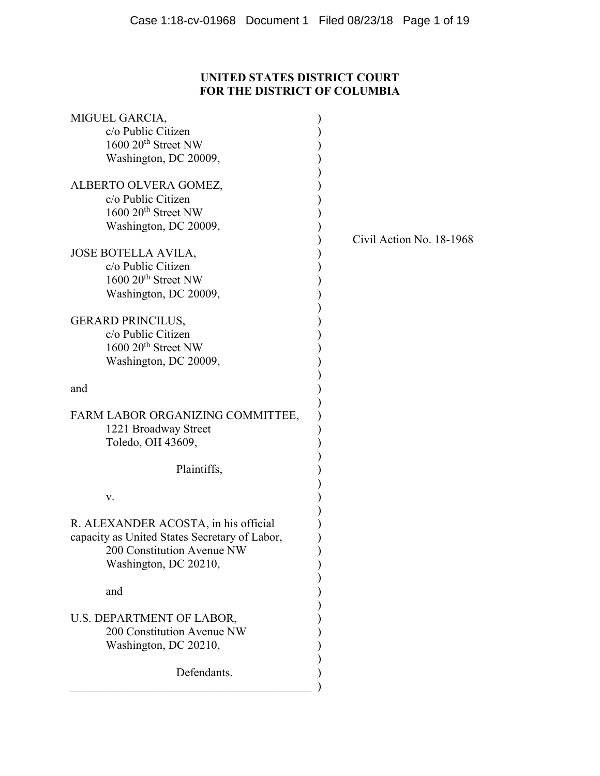# **UNITED STATES DISTRICT COURT FOR THE DISTRICT OF COLUMBIA**

| MIGUEL GARCIA,                                |                          |
|-----------------------------------------------|--------------------------|
| c/o Public Citizen                            |                          |
| 1600 20 <sup>th</sup> Street NW               |                          |
| Washington, DC 20009,                         |                          |
| ALBERTO OLVERA GOMEZ,                         |                          |
| c/o Public Citizen                            |                          |
| $1600 20$ <sup>th</sup> Street NW             |                          |
| Washington, DC 20009,                         |                          |
| <b>JOSE BOTELLA AVILA,</b>                    | Civil Action No. 18-1968 |
| c/o Public Citizen                            |                          |
| 1600 20 <sup>th</sup> Street NW               |                          |
| Washington, DC 20009,                         |                          |
|                                               |                          |
| <b>GERARD PRINCILUS,</b>                      |                          |
| c/o Public Citizen                            |                          |
| $1600 20$ <sup>th</sup> Street NW             |                          |
| Washington, DC 20009,                         |                          |
| and                                           |                          |
|                                               |                          |
| FARM LABOR ORGANIZING COMMITTEE,              |                          |
| 1221 Broadway Street                          |                          |
| Toledo, OH 43609,                             |                          |
|                                               |                          |
| Plaintiffs,                                   |                          |
| V.                                            |                          |
|                                               |                          |
| R. ALEXANDER ACOSTA, in his official          |                          |
| capacity as United States Secretary of Labor, |                          |
| 200 Constitution Avenue NW                    |                          |
| Washington, DC 20210,                         |                          |
|                                               |                          |
| and                                           |                          |
| U.S. DEPARTMENT OF LABOR,                     |                          |
| 200 Constitution Avenue NW                    |                          |
| Washington, DC 20210,                         |                          |
|                                               |                          |
| Defendants.                                   |                          |
|                                               |                          |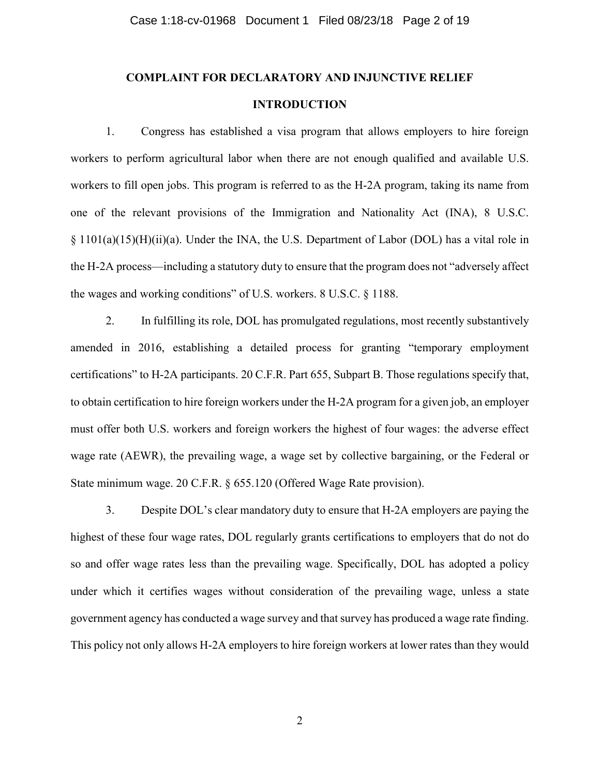# **COMPLAINT FOR DECLARATORY AND INJUNCTIVE RELIEF INTRODUCTION**

1. Congress has established a visa program that allows employers to hire foreign workers to perform agricultural labor when there are not enough qualified and available U.S. workers to fill open jobs. This program is referred to as the H-2A program, taking its name from one of the relevant provisions of the Immigration and Nationality Act (INA), 8 U.S.C. § 1101(a)(15)(H)(ii)(a). Under the INA, the U.S. Department of Labor (DOL) has a vital role in the H-2A process—including a statutory duty to ensure that the program does not "adversely affect the wages and working conditions" of U.S. workers. 8 U.S.C. § 1188.

2. In fulfilling its role, DOL has promulgated regulations, most recently substantively amended in 2016, establishing a detailed process for granting "temporary employment certifications" to H-2A participants. 20 C.F.R. Part 655, Subpart B. Those regulations specify that, to obtain certification to hire foreign workers under the H-2A program for a given job, an employer must offer both U.S. workers and foreign workers the highest of four wages: the adverse effect wage rate (AEWR), the prevailing wage, a wage set by collective bargaining, or the Federal or State minimum wage. 20 C.F.R. § 655.120 (Offered Wage Rate provision).

3. Despite DOL's clear mandatory duty to ensure that H-2A employers are paying the highest of these four wage rates, DOL regularly grants certifications to employers that do not do so and offer wage rates less than the prevailing wage. Specifically, DOL has adopted a policy under which it certifies wages without consideration of the prevailing wage, unless a state government agency has conducted a wage survey and that survey has produced a wage rate finding. This policy not only allows H-2A employers to hire foreign workers at lower rates than they would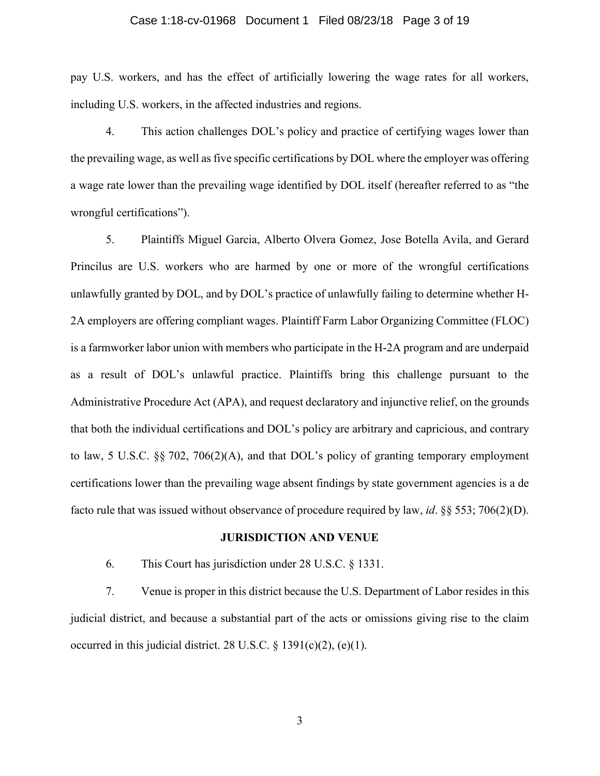## Case 1:18-cv-01968 Document 1 Filed 08/23/18 Page 3 of 19

pay U.S. workers, and has the effect of artificially lowering the wage rates for all workers, including U.S. workers, in the affected industries and regions.

4. This action challenges DOL's policy and practice of certifying wages lower than the prevailing wage, as well as five specific certifications by DOL where the employer was offering a wage rate lower than the prevailing wage identified by DOL itself (hereafter referred to as "the wrongful certifications").

5. Plaintiffs Miguel Garcia, Alberto Olvera Gomez, Jose Botella Avila, and Gerard Princilus are U.S. workers who are harmed by one or more of the wrongful certifications unlawfully granted by DOL, and by DOL's practice of unlawfully failing to determine whether H-2A employers are offering compliant wages. Plaintiff Farm Labor Organizing Committee (FLOC) is a farmworker labor union with members who participate in the H-2A program and are underpaid as a result of DOL's unlawful practice. Plaintiffs bring this challenge pursuant to the Administrative Procedure Act (APA), and request declaratory and injunctive relief, on the grounds that both the individual certifications and DOL's policy are arbitrary and capricious, and contrary to law, 5 U.S.C. §§ 702, 706(2)(A), and that DOL's policy of granting temporary employment certifications lower than the prevailing wage absent findings by state government agencies is a de facto rule that was issued without observance of procedure required by law, *id*. §§ 553; 706(2)(D).

## **JURISDICTION AND VENUE**

6. This Court has jurisdiction under 28 U.S.C. § 1331.

7. Venue is proper in this district because the U.S. Department of Labor resides in this judicial district, and because a substantial part of the acts or omissions giving rise to the claim occurred in this judicial district. 28 U.S.C. § 1391(c)(2), (e)(1).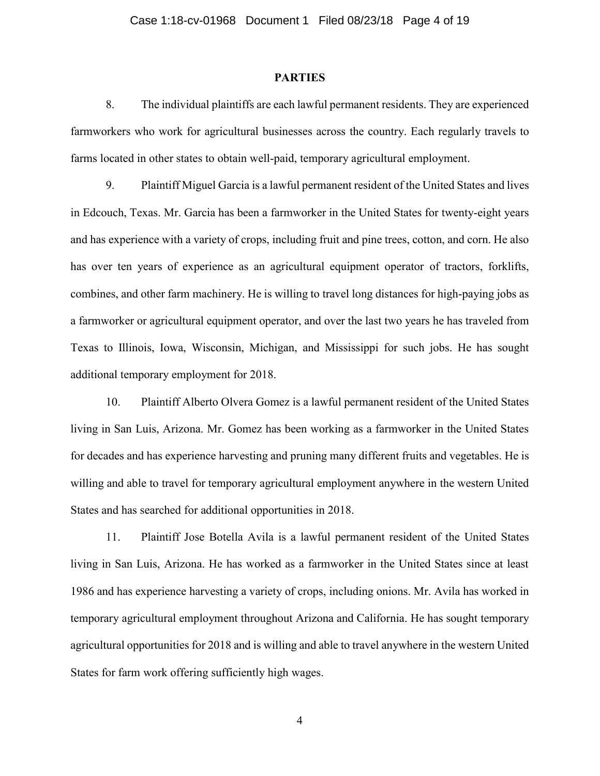## **PARTIES**

8. The individual plaintiffs are each lawful permanent residents. They are experienced farmworkers who work for agricultural businesses across the country. Each regularly travels to farms located in other states to obtain well-paid, temporary agricultural employment.

9. Plaintiff Miguel Garcia is a lawful permanent resident of the United States and lives in Edcouch, Texas. Mr. Garcia has been a farmworker in the United States for twenty-eight years and has experience with a variety of crops, including fruit and pine trees, cotton, and corn. He also has over ten years of experience as an agricultural equipment operator of tractors, forklifts, combines, and other farm machinery. He is willing to travel long distances for high-paying jobs as a farmworker or agricultural equipment operator, and over the last two years he has traveled from Texas to Illinois, Iowa, Wisconsin, Michigan, and Mississippi for such jobs. He has sought additional temporary employment for 2018.

10. Plaintiff Alberto Olvera Gomez is a lawful permanent resident of the United States living in San Luis, Arizona. Mr. Gomez has been working as a farmworker in the United States for decades and has experience harvesting and pruning many different fruits and vegetables. He is willing and able to travel for temporary agricultural employment anywhere in the western United States and has searched for additional opportunities in 2018.

11. Plaintiff Jose Botella Avila is a lawful permanent resident of the United States living in San Luis, Arizona. He has worked as a farmworker in the United States since at least 1986 and has experience harvesting a variety of crops, including onions. Mr. Avila has worked in temporary agricultural employment throughout Arizona and California. He has sought temporary agricultural opportunities for 2018 and is willing and able to travel anywhere in the western United States for farm work offering sufficiently high wages.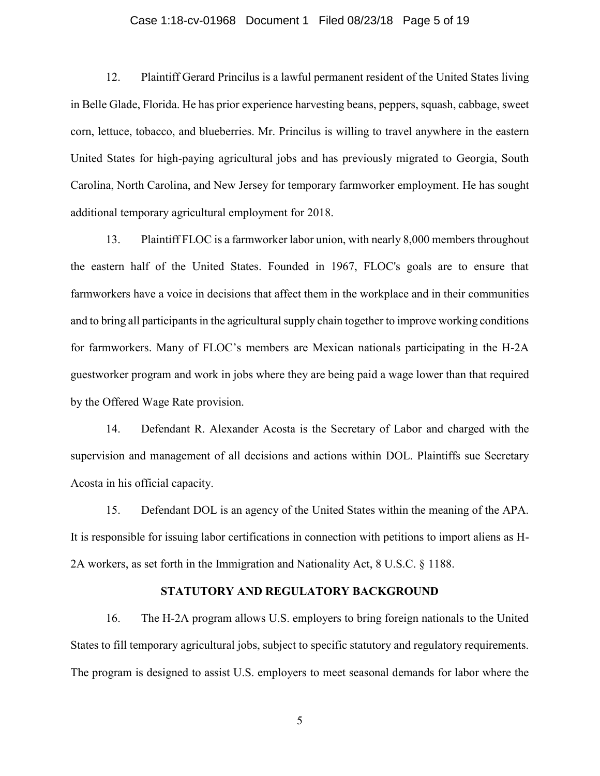## Case 1:18-cv-01968 Document 1 Filed 08/23/18 Page 5 of 19

12. Plaintiff Gerard Princilus is a lawful permanent resident of the United States living in Belle Glade, Florida. He has prior experience harvesting beans, peppers, squash, cabbage, sweet corn, lettuce, tobacco, and blueberries. Mr. Princilus is willing to travel anywhere in the eastern United States for high-paying agricultural jobs and has previously migrated to Georgia, South Carolina, North Carolina, and New Jersey for temporary farmworker employment. He has sought additional temporary agricultural employment for 2018.

13. Plaintiff FLOC is a farmworker labor union, with nearly 8,000 members throughout the eastern half of the United States. Founded in 1967, FLOC's goals are to ensure that farmworkers have a voice in decisions that affect them in the workplace and in their communities and to bring all participants in the agricultural supply chain together to improve working conditions for farmworkers. Many of FLOC's members are Mexican nationals participating in the H-2A guestworker program and work in jobs where they are being paid a wage lower than that required by the Offered Wage Rate provision.

14. Defendant R. Alexander Acosta is the Secretary of Labor and charged with the supervision and management of all decisions and actions within DOL. Plaintiffs sue Secretary Acosta in his official capacity.

15. Defendant DOL is an agency of the United States within the meaning of the APA. It is responsible for issuing labor certifications in connection with petitions to import aliens as H-2A workers, as set forth in the Immigration and Nationality Act, 8 U.S.C. § 1188.

#### **STATUTORY AND REGULATORY BACKGROUND**

16. The H-2A program allows U.S. employers to bring foreign nationals to the United States to fill temporary agricultural jobs, subject to specific statutory and regulatory requirements. The program is designed to assist U.S. employers to meet seasonal demands for labor where the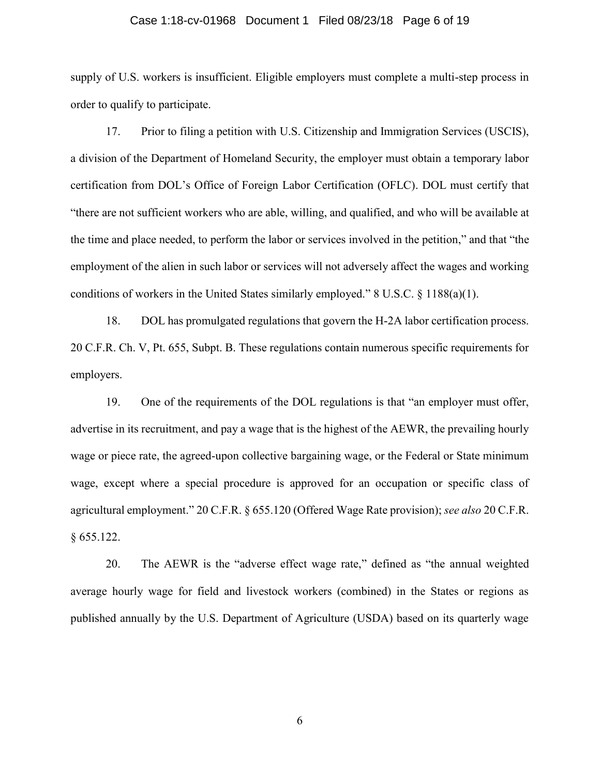## Case 1:18-cv-01968 Document 1 Filed 08/23/18 Page 6 of 19

supply of U.S. workers is insufficient. Eligible employers must complete a multi-step process in order to qualify to participate.

17. Prior to filing a petition with U.S. Citizenship and Immigration Services (USCIS), a division of the Department of Homeland Security, the employer must obtain a temporary labor certification from DOL's Office of Foreign Labor Certification (OFLC). DOL must certify that "there are not sufficient workers who are able, willing, and qualified, and who will be available at the time and place needed, to perform the labor or services involved in the petition," and that "the employment of the alien in such labor or services will not adversely affect the wages and working conditions of workers in the United States similarly employed." 8 U.S.C. § 1188(a)(1).

18. DOL has promulgated regulations that govern the H-2A labor certification process. 20 C.F.R. Ch. V, Pt. 655, Subpt. B. These regulations contain numerous specific requirements for employers.

19. One of the requirements of the DOL regulations is that "an employer must offer, advertise in its recruitment, and pay a wage that is the highest of the AEWR, the prevailing hourly wage or piece rate, the agreed-upon collective bargaining wage, or the Federal or State minimum wage, except where a special procedure is approved for an occupation or specific class of agricultural employment." 20 C.F.R. § 655.120 (Offered Wage Rate provision); *see also* 20 C.F.R. § 655.122.

20. The AEWR is the "adverse effect wage rate," defined as "the annual weighted average hourly wage for field and livestock workers (combined) in the States or regions as published annually by the U.S. Department of Agriculture (USDA) based on its quarterly wage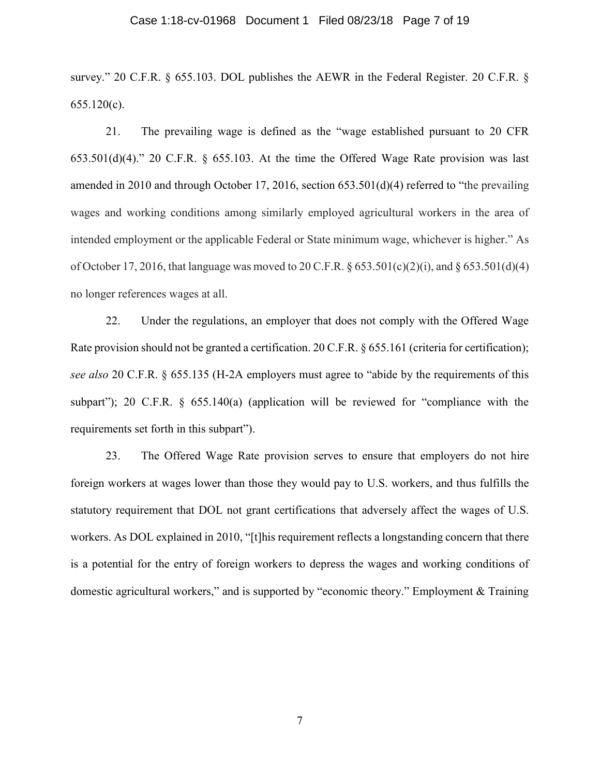#### Case 1:18-cv-01968 Document 1 Filed 08/23/18 Page 7 of 19

survey." 20 C.F.R. § 655.103. DOL publishes the AEWR in the Federal Register. 20 C.F.R. § 655.120(c).

21. The prevailing wage is defined as the "wage established pursuant to 20 CFR 653.501(d)(4)." 20 C.F.R. § 655.103. At the time the Offered Wage Rate provision was last amended in 2010 and through October 17, 2016, section 653.501(d)(4) referred to "the prevailing wages and working conditions among similarly employed agricultural workers in the area of intended employment or the applicable Federal or State minimum wage, whichever is higher." As of October 17, 2016, that language was moved to 20 C.F.R.  $\S 653.501(c)(2)(i)$ , and  $\S 653.501(d)(4)$ no longer references wages at all.

22. Under the regulations, an employer that does not comply with the Offered Wage Rate provision should not be granted a certification. 20 C.F.R. § 655.161 (criteria for certification); *see also* 20 C.F.R. § 655.135 (H-2A employers must agree to "abide by the requirements of this subpart"); 20 C.F.R. § 655.140(a) (application will be reviewed for "compliance with the requirements set forth in this subpart").

23. The Offered Wage Rate provision serves to ensure that employers do not hire foreign workers at wages lower than those they would pay to U.S. workers, and thus fulfills the statutory requirement that DOL not grant certifications that adversely affect the wages of U.S. workers. As DOL explained in 2010, "[t]his requirement reflects a longstanding concern that there is a potential for the entry of foreign workers to depress the wages and working conditions of domestic agricultural workers," and is supported by "economic theory." Employment & Training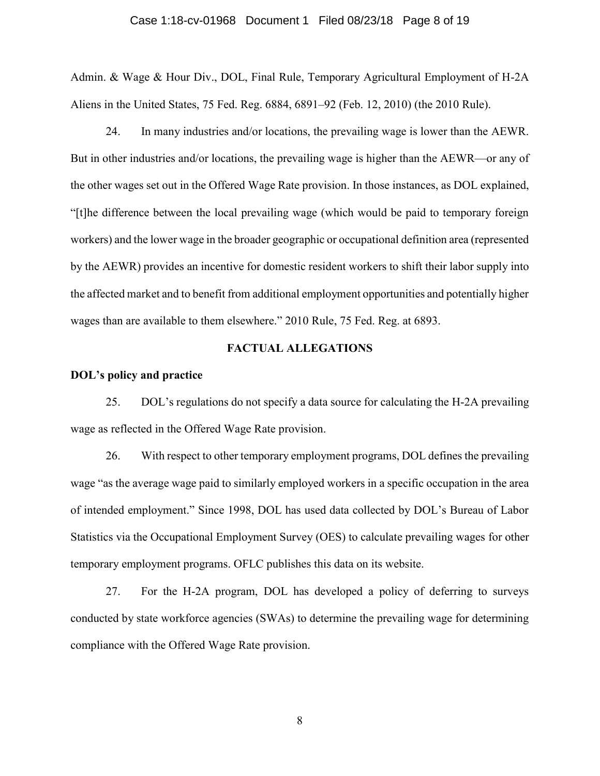## Case 1:18-cv-01968 Document 1 Filed 08/23/18 Page 8 of 19

Admin. & Wage & Hour Div., DOL, Final Rule, Temporary Agricultural Employment of H-2A Aliens in the United States, 75 Fed. Reg. 6884, 6891–92 (Feb. 12, 2010) (the 2010 Rule).

24. In many industries and/or locations, the prevailing wage is lower than the AEWR. But in other industries and/or locations, the prevailing wage is higher than the AEWR—or any of the other wages set out in the Offered Wage Rate provision. In those instances, as DOL explained, "[t]he difference between the local prevailing wage (which would be paid to temporary foreign workers) and the lower wage in the broader geographic or occupational definition area (represented by the AEWR) provides an incentive for domestic resident workers to shift their labor supply into the affected market and to benefit from additional employment opportunities and potentially higher wages than are available to them elsewhere." 2010 Rule, 75 Fed. Reg. at 6893.

# **FACTUAL ALLEGATIONS**

## **DOL's policy and practice**

25. DOL's regulations do not specify a data source for calculating the H-2A prevailing wage as reflected in the Offered Wage Rate provision.

26. With respect to other temporary employment programs, DOL defines the prevailing wage "as the average wage paid to similarly employed workers in a specific occupation in the area of intended employment." Since 1998, DOL has used data collected by DOL's Bureau of Labor Statistics via the Occupational Employment Survey (OES) to calculate prevailing wages for other temporary employment programs. OFLC publishes this data on its website.

27. For the H-2A program, DOL has developed a policy of deferring to surveys conducted by state workforce agencies (SWAs) to determine the prevailing wage for determining compliance with the Offered Wage Rate provision.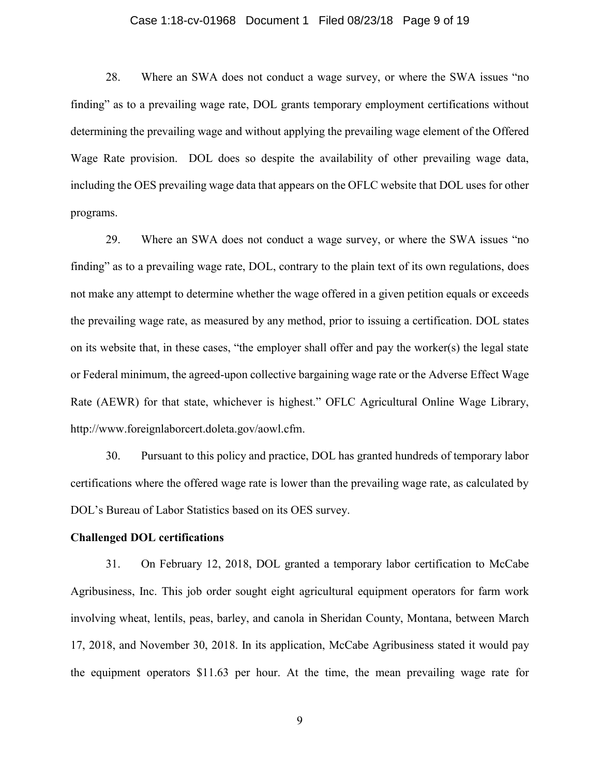#### Case 1:18-cv-01968 Document 1 Filed 08/23/18 Page 9 of 19

28. Where an SWA does not conduct a wage survey, or where the SWA issues "no finding" as to a prevailing wage rate, DOL grants temporary employment certifications without determining the prevailing wage and without applying the prevailing wage element of the Offered Wage Rate provision. DOL does so despite the availability of other prevailing wage data, including the OES prevailing wage data that appears on the OFLC website that DOL uses for other programs.

29. Where an SWA does not conduct a wage survey, or where the SWA issues "no finding" as to a prevailing wage rate, DOL, contrary to the plain text of its own regulations, does not make any attempt to determine whether the wage offered in a given petition equals or exceeds the prevailing wage rate, as measured by any method, prior to issuing a certification. DOL states on its website that, in these cases, "the employer shall offer and pay the worker(s) the legal state or Federal minimum, the agreed-upon collective bargaining wage rate or the Adverse Effect Wage Rate (AEWR) for that state, whichever is highest." OFLC Agricultural Online Wage Library, http://www.foreignlaborcert.doleta.gov/aowl.cfm.

30. Pursuant to this policy and practice, DOL has granted hundreds of temporary labor certifications where the offered wage rate is lower than the prevailing wage rate, as calculated by DOL's Bureau of Labor Statistics based on its OES survey.

## **Challenged DOL certifications**

31. On February 12, 2018, DOL granted a temporary labor certification to McCabe Agribusiness, Inc. This job order sought eight agricultural equipment operators for farm work involving wheat, lentils, peas, barley, and canola in Sheridan County, Montana, between March 17, 2018, and November 30, 2018. In its application, McCabe Agribusiness stated it would pay the equipment operators \$11.63 per hour. At the time, the mean prevailing wage rate for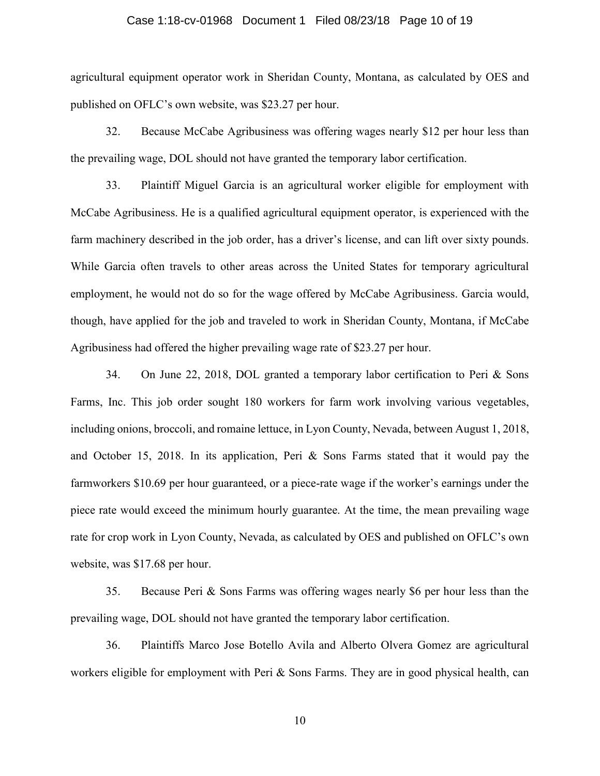## Case 1:18-cv-01968 Document 1 Filed 08/23/18 Page 10 of 19

agricultural equipment operator work in Sheridan County, Montana, as calculated by OES and published on OFLC's own website, was \$23.27 per hour.

32. Because McCabe Agribusiness was offering wages nearly \$12 per hour less than the prevailing wage, DOL should not have granted the temporary labor certification.

33. Plaintiff Miguel Garcia is an agricultural worker eligible for employment with McCabe Agribusiness. He is a qualified agricultural equipment operator, is experienced with the farm machinery described in the job order, has a driver's license, and can lift over sixty pounds. While Garcia often travels to other areas across the United States for temporary agricultural employment, he would not do so for the wage offered by McCabe Agribusiness. Garcia would, though, have applied for the job and traveled to work in Sheridan County, Montana, if McCabe Agribusiness had offered the higher prevailing wage rate of \$23.27 per hour.

34. On June 22, 2018, DOL granted a temporary labor certification to Peri & Sons Farms, Inc. This job order sought 180 workers for farm work involving various vegetables, including onions, broccoli, and romaine lettuce, in Lyon County, Nevada, between August 1, 2018, and October 15, 2018. In its application, Peri & Sons Farms stated that it would pay the farmworkers \$10.69 per hour guaranteed, or a piece-rate wage if the worker's earnings under the piece rate would exceed the minimum hourly guarantee. At the time, the mean prevailing wage rate for crop work in Lyon County, Nevada, as calculated by OES and published on OFLC's own website, was \$17.68 per hour.

35. Because Peri & Sons Farms was offering wages nearly \$6 per hour less than the prevailing wage, DOL should not have granted the temporary labor certification.

36. Plaintiffs Marco Jose Botello Avila and Alberto Olvera Gomez are agricultural workers eligible for employment with Peri & Sons Farms. They are in good physical health, can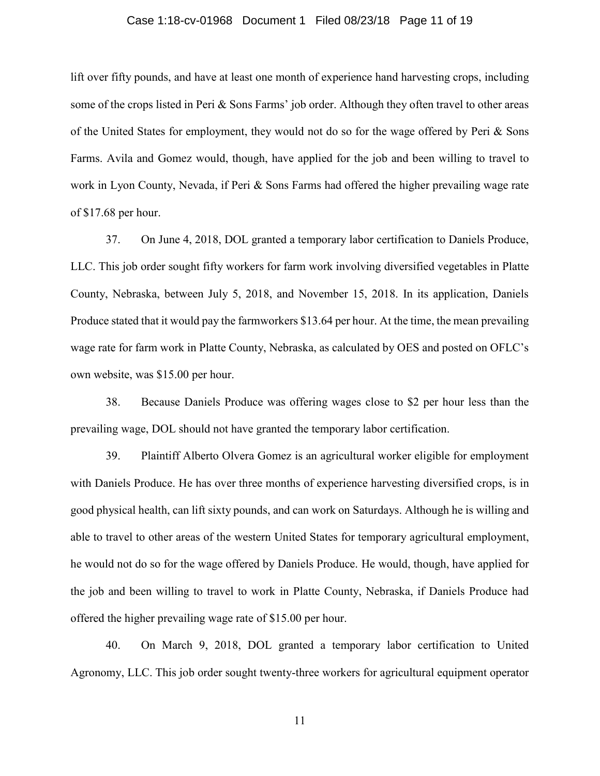## Case 1:18-cv-01968 Document 1 Filed 08/23/18 Page 11 of 19

lift over fifty pounds, and have at least one month of experience hand harvesting crops, including some of the crops listed in Peri & Sons Farms' job order. Although they often travel to other areas of the United States for employment, they would not do so for the wage offered by Peri  $\&$  Sons Farms. Avila and Gomez would, though, have applied for the job and been willing to travel to work in Lyon County, Nevada, if Peri & Sons Farms had offered the higher prevailing wage rate of \$17.68 per hour.

37. On June 4, 2018, DOL granted a temporary labor certification to Daniels Produce, LLC. This job order sought fifty workers for farm work involving diversified vegetables in Platte County, Nebraska, between July 5, 2018, and November 15, 2018. In its application, Daniels Produce stated that it would pay the farmworkers \$13.64 per hour. At the time, the mean prevailing wage rate for farm work in Platte County, Nebraska, as calculated by OES and posted on OFLC's own website, was \$15.00 per hour.

38. Because Daniels Produce was offering wages close to \$2 per hour less than the prevailing wage, DOL should not have granted the temporary labor certification.

39. Plaintiff Alberto Olvera Gomez is an agricultural worker eligible for employment with Daniels Produce. He has over three months of experience harvesting diversified crops, is in good physical health, can lift sixty pounds, and can work on Saturdays. Although he is willing and able to travel to other areas of the western United States for temporary agricultural employment, he would not do so for the wage offered by Daniels Produce. He would, though, have applied for the job and been willing to travel to work in Platte County, Nebraska, if Daniels Produce had offered the higher prevailing wage rate of \$15.00 per hour.

40. On March 9, 2018, DOL granted a temporary labor certification to United Agronomy, LLC. This job order sought twenty-three workers for agricultural equipment operator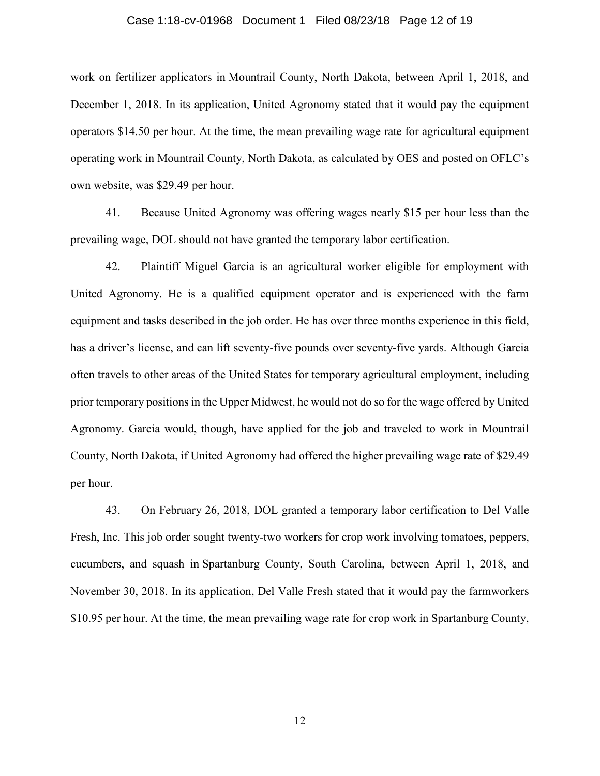#### Case 1:18-cv-01968 Document 1 Filed 08/23/18 Page 12 of 19

work on fertilizer applicators in Mountrail County, North Dakota, between April 1, 2018, and December 1, 2018. In its application, United Agronomy stated that it would pay the equipment operators \$14.50 per hour. At the time, the mean prevailing wage rate for agricultural equipment operating work in Mountrail County, North Dakota, as calculated by OES and posted on OFLC's own website, was \$29.49 per hour.

41. Because United Agronomy was offering wages nearly \$15 per hour less than the prevailing wage, DOL should not have granted the temporary labor certification.

42. Plaintiff Miguel Garcia is an agricultural worker eligible for employment with United Agronomy. He is a qualified equipment operator and is experienced with the farm equipment and tasks described in the job order. He has over three months experience in this field, has a driver's license, and can lift seventy-five pounds over seventy-five yards. Although Garcia often travels to other areas of the United States for temporary agricultural employment, including prior temporary positions in the Upper Midwest, he would not do so for the wage offered by United Agronomy. Garcia would, though, have applied for the job and traveled to work in Mountrail County, North Dakota, if United Agronomy had offered the higher prevailing wage rate of \$29.49 per hour.

43. On February 26, 2018, DOL granted a temporary labor certification to Del Valle Fresh, Inc. This job order sought twenty-two workers for crop work involving tomatoes, peppers, cucumbers, and squash in Spartanburg County, South Carolina, between April 1, 2018, and November 30, 2018. In its application, Del Valle Fresh stated that it would pay the farmworkers \$10.95 per hour. At the time, the mean prevailing wage rate for crop work in Spartanburg County,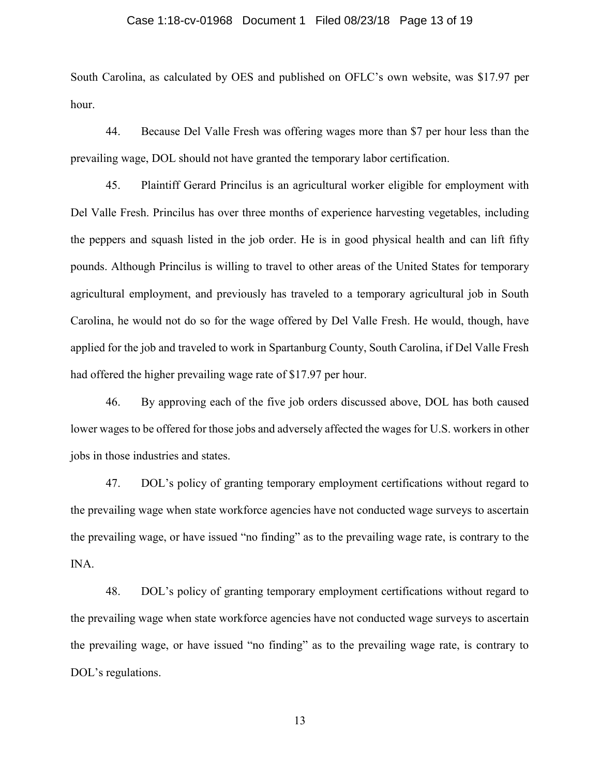#### Case 1:18-cv-01968 Document 1 Filed 08/23/18 Page 13 of 19

South Carolina, as calculated by OES and published on OFLC's own website, was \$17.97 per hour.

44. Because Del Valle Fresh was offering wages more than \$7 per hour less than the prevailing wage, DOL should not have granted the temporary labor certification.

45. Plaintiff Gerard Princilus is an agricultural worker eligible for employment with Del Valle Fresh. Princilus has over three months of experience harvesting vegetables, including the peppers and squash listed in the job order. He is in good physical health and can lift fifty pounds. Although Princilus is willing to travel to other areas of the United States for temporary agricultural employment, and previously has traveled to a temporary agricultural job in South Carolina, he would not do so for the wage offered by Del Valle Fresh. He would, though, have applied for the job and traveled to work in Spartanburg County, South Carolina, if Del Valle Fresh had offered the higher prevailing wage rate of \$17.97 per hour.

46. By approving each of the five job orders discussed above, DOL has both caused lower wages to be offered for those jobs and adversely affected the wages for U.S. workers in other jobs in those industries and states.

47. DOL's policy of granting temporary employment certifications without regard to the prevailing wage when state workforce agencies have not conducted wage surveys to ascertain the prevailing wage, or have issued "no finding" as to the prevailing wage rate, is contrary to the INA.

48. DOL's policy of granting temporary employment certifications without regard to the prevailing wage when state workforce agencies have not conducted wage surveys to ascertain the prevailing wage, or have issued "no finding" as to the prevailing wage rate, is contrary to DOL's regulations.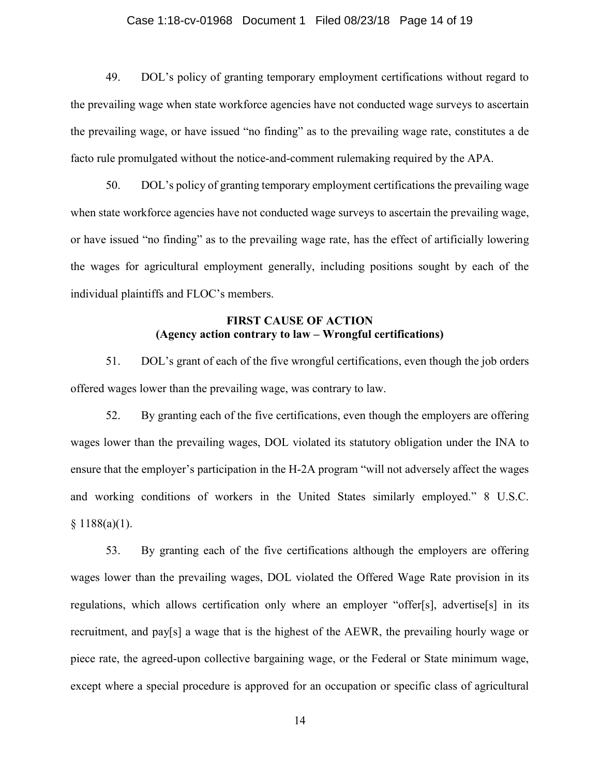#### Case 1:18-cv-01968 Document 1 Filed 08/23/18 Page 14 of 19

49. DOL's policy of granting temporary employment certifications without regard to the prevailing wage when state workforce agencies have not conducted wage surveys to ascertain the prevailing wage, or have issued "no finding" as to the prevailing wage rate, constitutes a de facto rule promulgated without the notice-and-comment rulemaking required by the APA.

50. DOL's policy of granting temporary employment certifications the prevailing wage when state workforce agencies have not conducted wage surveys to ascertain the prevailing wage, or have issued "no finding" as to the prevailing wage rate, has the effect of artificially lowering the wages for agricultural employment generally, including positions sought by each of the individual plaintiffs and FLOC's members.

# **FIRST CAUSE OF ACTION (Agency action contrary to law – Wrongful certifications)**

51. DOL's grant of each of the five wrongful certifications, even though the job orders offered wages lower than the prevailing wage, was contrary to law.

52. By granting each of the five certifications, even though the employers are offering wages lower than the prevailing wages, DOL violated its statutory obligation under the INA to ensure that the employer's participation in the H-2A program "will not adversely affect the wages and working conditions of workers in the United States similarly employed." 8 U.S.C.  $§ 1188(a)(1).$ 

53. By granting each of the five certifications although the employers are offering wages lower than the prevailing wages, DOL violated the Offered Wage Rate provision in its regulations, which allows certification only where an employer "offer[s], advertise[s] in its recruitment, and pay[s] a wage that is the highest of the AEWR, the prevailing hourly wage or piece rate, the agreed-upon collective bargaining wage, or the Federal or State minimum wage, except where a special procedure is approved for an occupation or specific class of agricultural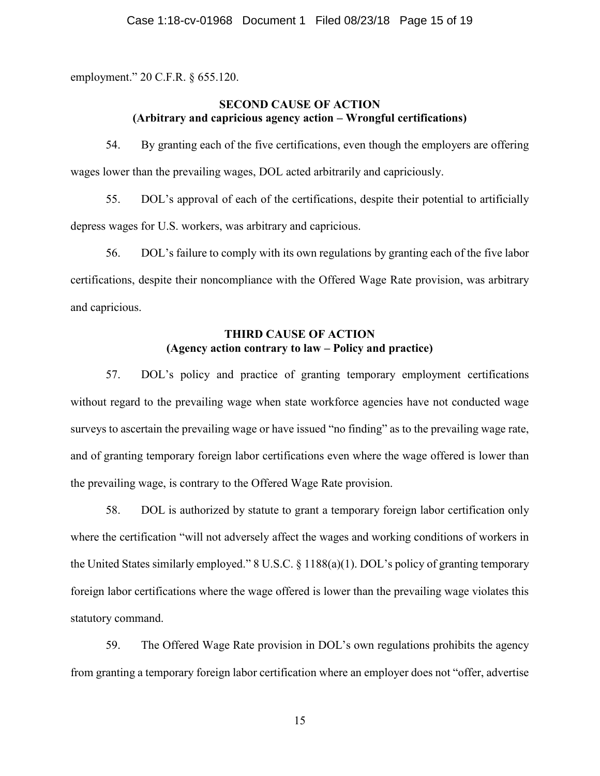employment." 20 C.F.R. § 655.120.

# **SECOND CAUSE OF ACTION (Arbitrary and capricious agency action – Wrongful certifications)**

54. By granting each of the five certifications, even though the employers are offering wages lower than the prevailing wages, DOL acted arbitrarily and capriciously.

55. DOL's approval of each of the certifications, despite their potential to artificially depress wages for U.S. workers, was arbitrary and capricious.

56. DOL's failure to comply with its own regulations by granting each of the five labor certifications, despite their noncompliance with the Offered Wage Rate provision, was arbitrary and capricious.

# **THIRD CAUSE OF ACTION (Agency action contrary to law – Policy and practice)**

57. DOL's policy and practice of granting temporary employment certifications without regard to the prevailing wage when state workforce agencies have not conducted wage surveys to ascertain the prevailing wage or have issued "no finding" as to the prevailing wage rate, and of granting temporary foreign labor certifications even where the wage offered is lower than the prevailing wage, is contrary to the Offered Wage Rate provision.

58. DOL is authorized by statute to grant a temporary foreign labor certification only where the certification "will not adversely affect the wages and working conditions of workers in the United States similarly employed." 8 U.S.C. § 1188(a)(1). DOL's policy of granting temporary foreign labor certifications where the wage offered is lower than the prevailing wage violates this statutory command.

59. The Offered Wage Rate provision in DOL's own regulations prohibits the agency from granting a temporary foreign labor certification where an employer does not "offer, advertise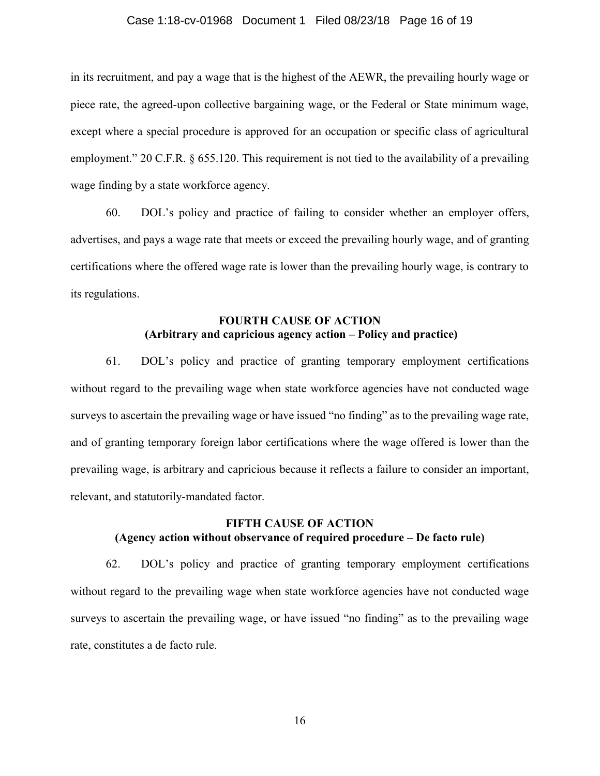#### Case 1:18-cv-01968 Document 1 Filed 08/23/18 Page 16 of 19

in its recruitment, and pay a wage that is the highest of the AEWR, the prevailing hourly wage or piece rate, the agreed-upon collective bargaining wage, or the Federal or State minimum wage, except where a special procedure is approved for an occupation or specific class of agricultural employment." 20 C.F.R. § 655.120. This requirement is not tied to the availability of a prevailing wage finding by a state workforce agency.

60. DOL's policy and practice of failing to consider whether an employer offers, advertises, and pays a wage rate that meets or exceed the prevailing hourly wage, and of granting certifications where the offered wage rate is lower than the prevailing hourly wage, is contrary to its regulations.

# **FOURTH CAUSE OF ACTION (Arbitrary and capricious agency action – Policy and practice)**

61. DOL's policy and practice of granting temporary employment certifications without regard to the prevailing wage when state workforce agencies have not conducted wage surveys to ascertain the prevailing wage or have issued "no finding" as to the prevailing wage rate, and of granting temporary foreign labor certifications where the wage offered is lower than the prevailing wage, is arbitrary and capricious because it reflects a failure to consider an important, relevant, and statutorily-mandated factor.

# **FIFTH CAUSE OF ACTION (Agency action without observance of required procedure – De facto rule)**

62. DOL's policy and practice of granting temporary employment certifications without regard to the prevailing wage when state workforce agencies have not conducted wage surveys to ascertain the prevailing wage, or have issued "no finding" as to the prevailing wage rate, constitutes a de facto rule.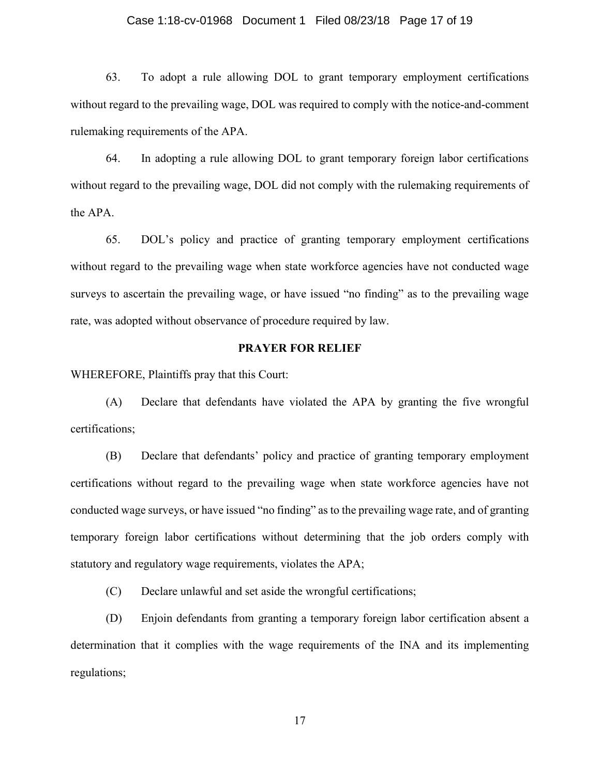#### Case 1:18-cv-01968 Document 1 Filed 08/23/18 Page 17 of 19

63. To adopt a rule allowing DOL to grant temporary employment certifications without regard to the prevailing wage, DOL was required to comply with the notice-and-comment rulemaking requirements of the APA.

64. In adopting a rule allowing DOL to grant temporary foreign labor certifications without regard to the prevailing wage, DOL did not comply with the rulemaking requirements of the APA.

65. DOL's policy and practice of granting temporary employment certifications without regard to the prevailing wage when state workforce agencies have not conducted wage surveys to ascertain the prevailing wage, or have issued "no finding" as to the prevailing wage rate, was adopted without observance of procedure required by law.

## **PRAYER FOR RELIEF**

WHEREFORE, Plaintiffs pray that this Court:

(A) Declare that defendants have violated the APA by granting the five wrongful certifications;

(B) Declare that defendants' policy and practice of granting temporary employment certifications without regard to the prevailing wage when state workforce agencies have not conducted wage surveys, or have issued "no finding" as to the prevailing wage rate, and of granting temporary foreign labor certifications without determining that the job orders comply with statutory and regulatory wage requirements, violates the APA;

(C) Declare unlawful and set aside the wrongful certifications;

(D) Enjoin defendants from granting a temporary foreign labor certification absent a determination that it complies with the wage requirements of the INA and its implementing regulations;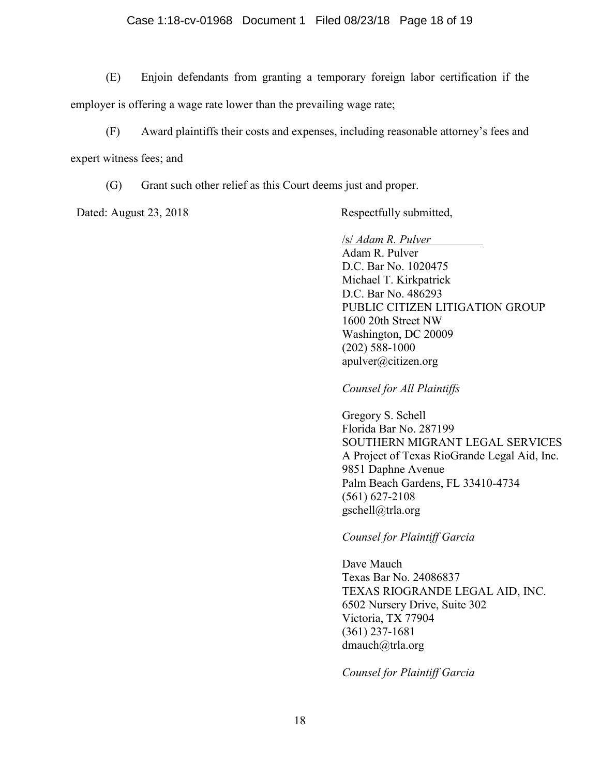## Case 1:18-cv-01968 Document 1 Filed 08/23/18 Page 18 of 19

(E) Enjoin defendants from granting a temporary foreign labor certification if the employer is offering a wage rate lower than the prevailing wage rate;

- (F) Award plaintiffs their costs and expenses, including reasonable attorney's fees and expert witness fees; and
	- (G) Grant such other relief as this Court deems just and proper.

Dated: August 23, 2018 Respectfully submitted,

/s/ *Adam R. Pulver*

Adam R. Pulver D.C. Bar No. 1020475 Michael T. Kirkpatrick D.C. Bar No. 486293 PUBLIC CITIZEN LITIGATION GROUP 1600 20th Street NW Washington, DC 20009 (202) 588-1000 apulver@citizen.org

*Counsel for All Plaintiffs*

Gregory S. Schell Florida Bar No. 287199 SOUTHERN MIGRANT LEGAL SERVICES A Project of Texas RioGrande Legal Aid, Inc. 9851 Daphne Avenue Palm Beach Gardens, FL 33410-4734 (561) 627-2108 gschell@trla.org

*Counsel for Plaintiff Garcia*

Dave Mauch Texas Bar No. 24086837 TEXAS RIOGRANDE LEGAL AID, INC. 6502 Nursery Drive, Suite 302 Victoria, TX 77904 (361) 237-1681 dmauch@trla.org

*Counsel for Plaintiff Garcia*